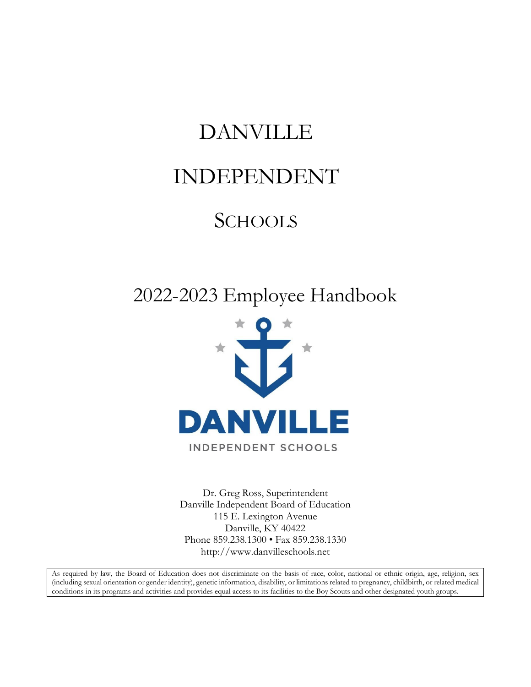# DANVILLE

# INDEPENDENT

# **SCHOOLS**

2022-2023 Employee Handbook



Dr. Greg Ross, Superintendent Danville Independent Board of Education 115 E. Lexington Avenue Danville, KY 40422 Phone 859.238.1300 • Fax 859.238.1330 http://www.danvilleschools.net

As required by law, the Board of Education does not discriminate on the basis of race, color, national or ethnic origin, age, religion, sex (including sexual orientation or gender identity), genetic information, disability, or limitations related to pregnancy, childbirth, or related medical conditions in its programs and activities and provides equal access to its facilities to the Boy Scouts and other designated youth groups.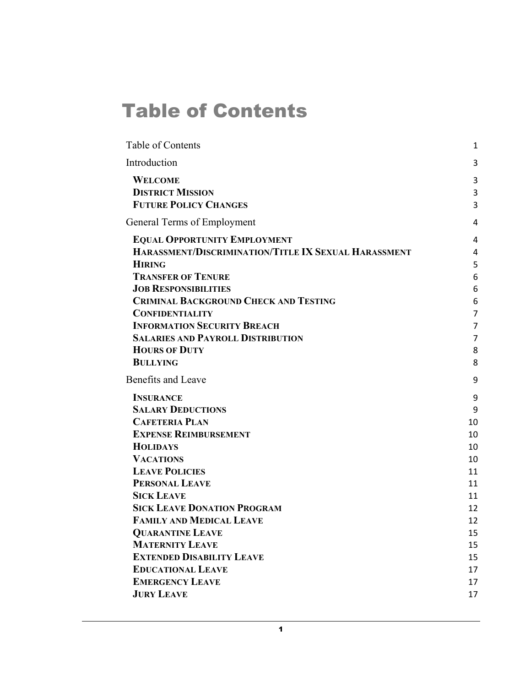# Table of Contents

| Table of Contents                                    | $\mathbf{1}$   |
|------------------------------------------------------|----------------|
| Introduction                                         | 3              |
| <b>WELCOME</b>                                       | 3              |
| <b>DISTRICT MISSION</b>                              | 3              |
| <b>FUTURE POLICY CHANGES</b>                         | 3              |
| General Terms of Employment                          | 4              |
| <b>EQUAL OPPORTUNITY EMPLOYMENT</b>                  | 4              |
| HARASSMENT/DISCRIMINATION/TITLE IX SEXUAL HARASSMENT | 4              |
| <b>HIRING</b>                                        | 5              |
| <b>TRANSFER OF TENURE</b>                            | 6              |
| <b>JOB RESPONSIBILITIES</b>                          | 6              |
| <b>CRIMINAL BACKGROUND CHECK AND TESTING</b>         | 6              |
| <b>CONFIDENTIALITY</b>                               | 7              |
| <b>INFORMATION SECURITY BREACH</b>                   | 7              |
| <b>SALARIES AND PAYROLL DISTRIBUTION</b>             | $\overline{7}$ |
| <b>HOURS OF DUTY</b>                                 | 8              |
| <b>BULLYING</b>                                      | 8              |
| <b>Benefits and Leave</b>                            | 9              |
| <b>INSURANCE</b>                                     | 9              |
| <b>SALARY DEDUCTIONS</b>                             | 9              |
| <b>CAFETERIA PLAN</b>                                | 10             |
| <b>EXPENSE REIMBURSEMENT</b>                         | 10             |
| <b>HOLIDAYS</b>                                      | 10             |
| <b>VACATIONS</b>                                     | 10             |
| <b>LEAVE POLICIES</b>                                | 11             |
| PERSONAL LEAVE                                       | 11             |
| <b>SICK LEAVE</b>                                    | 11             |
| <b>SICK LEAVE DONATION PROGRAM</b>                   | 12             |
| <b>FAMILY AND MEDICAL LEAVE</b>                      | 12             |
| <b>QUARANTINE LEAVE</b>                              | 15             |
| <b>MATERNITY LEAVE</b>                               | 15             |
| <b>EXTENDED DISABILITY LEAVE</b>                     | 15             |
| <b>EDUCATIONAL LEAVE</b>                             | 17             |
| <b>EMERGENCY LEAVE</b>                               | 17             |
| <b>JURY LEAVE</b>                                    | 17             |
|                                                      |                |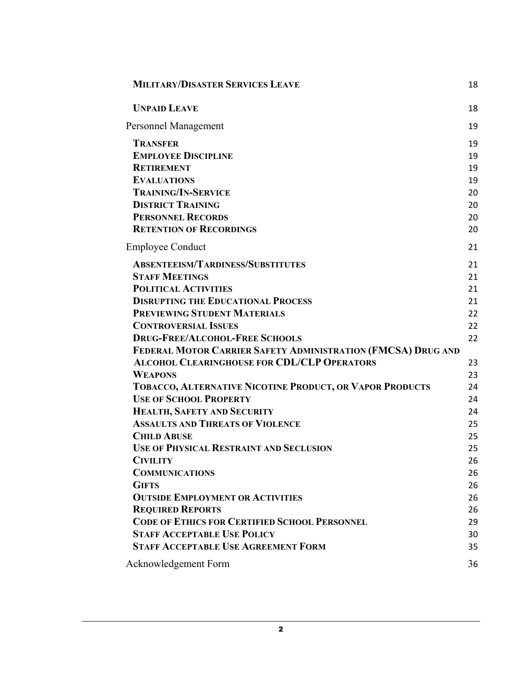| <b>MILITARY/DISASTER SERVICES LEAVE</b>                                                                                                                                                                                                                                                                                                                                                                                                                                                                                                                                                           | 18                                                                               |
|---------------------------------------------------------------------------------------------------------------------------------------------------------------------------------------------------------------------------------------------------------------------------------------------------------------------------------------------------------------------------------------------------------------------------------------------------------------------------------------------------------------------------------------------------------------------------------------------------|----------------------------------------------------------------------------------|
| <b>UNPAID LEAVE</b>                                                                                                                                                                                                                                                                                                                                                                                                                                                                                                                                                                               | 18                                                                               |
| Personnel Management                                                                                                                                                                                                                                                                                                                                                                                                                                                                                                                                                                              | 19                                                                               |
| <b>TRANSFER</b><br><b>EMPLOYEE DISCIPLINE</b><br><b>RETIREMENT</b><br><b>EVALUATIONS</b><br><b>TRAINING/IN-SERVICE</b><br><b>DISTRICT TRAINING</b><br><b>PERSONNEL RECORDS</b><br><b>RETENTION OF RECORDINGS</b>                                                                                                                                                                                                                                                                                                                                                                                  | 19<br>19<br>19<br>19<br>20<br>20<br>20<br>20                                     |
| <b>Employee Conduct</b>                                                                                                                                                                                                                                                                                                                                                                                                                                                                                                                                                                           | 21                                                                               |
| <b>ABSENTEEISM/TARDINESS/SUBSTITUTES</b><br><b>STAFF MEETINGS</b><br><b>POLITICAL ACTIVITIES</b><br><b>DISRUPTING THE EDUCATIONAL PROCESS</b><br>PREVIEWING STUDENT MATERIALS<br><b>CONTROVERSIAL ISSUES</b><br><b>DRUG-FREE/ALCOHOL-FREE SCHOOLS</b><br>FEDERAL MOTOR CARRIER SAFETY ADMINISTRATION (FMCSA) DRUG AND<br><b>ALCOHOL CLEARINGHOUSE FOR CDL/CLP OPERATORS</b><br><b>WEAPONS</b><br><b>TOBACCO, ALTERNATIVE NICOTINE PRODUCT, OR VAPOR PRODUCTS</b><br><b>USE OF SCHOOL PROPERTY</b><br>HEALTH, SAFETY AND SECURITY<br><b>ASSAULTS AND THREATS OF VIOLENCE</b><br><b>CHILD ABUSE</b> | 21<br>21<br>21<br>21<br>22<br>22<br>22<br>23<br>23<br>24<br>24<br>24<br>25<br>25 |
| <b>USE OF PHYSICAL RESTRAINT AND SECLUSION</b><br><b>CIVILITY</b><br><b>COMMUNICATIONS</b><br><b>GIFTS</b><br><b>OUTSIDE EMPLOYMENT OR ACTIVITIES</b><br><b>REQUIRED REPORTS</b><br><b>CODE OF ETHICS FOR CERTIFIED SCHOOL PERSONNEL</b><br><b>STAFF ACCEPTABLE USE POLICY</b><br><b>STAFF ACCEPTABLE USE AGREEMENT FORM</b>                                                                                                                                                                                                                                                                      | 25<br>26<br>26<br>26<br>26<br>26<br>29<br>30<br>35                               |
| Acknowledgement Form                                                                                                                                                                                                                                                                                                                                                                                                                                                                                                                                                                              | 36                                                                               |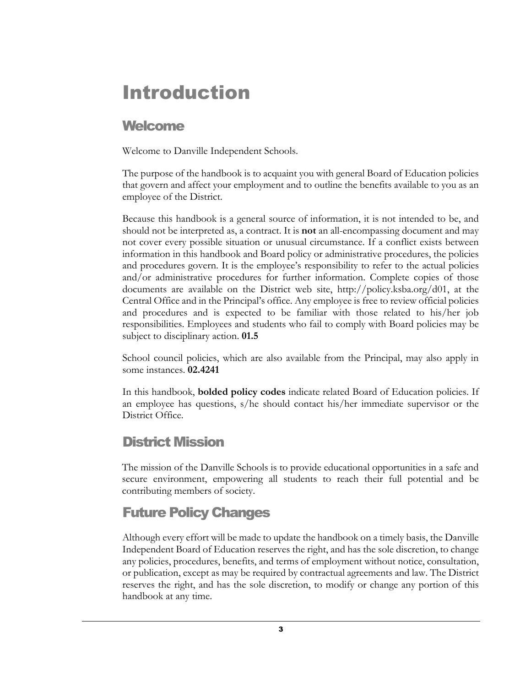# Introduction

## **Welcome**

Welcome to Danville Independent Schools.

The purpose of the handbook is to acquaint you with general Board of Education policies that govern and affect your employment and to outline the benefits available to you as an employee of the District.

Because this handbook is a general source of information, it is not intended to be, and should not be interpreted as, a contract. It is **not** an all-encompassing document and may not cover every possible situation or unusual circumstance. If a conflict exists between information in this handbook and Board policy or administrative procedures, the policies and procedures govern. It is the employee's responsibility to refer to the actual policies and/or administrative procedures for further information. Complete copies of those documents are available on the District web site, http://policy.ksba.org/d01, at the Central Office and in the Principal's office. Any employee is free to review official policies and procedures and is expected to be familiar with those related to his/her job responsibilities. Employees and students who fail to comply with Board policies may be subject to disciplinary action. **01.5**

School council policies, which are also available from the Principal, may also apply in some instances. **02.4241** 

In this handbook, **bolded policy codes** indicate related Board of Education policies. If an employee has questions, s/he should contact his/her immediate supervisor or the District Office.

# District Mission

The mission of the Danville Schools is to provide educational opportunities in a safe and secure environment, empowering all students to reach their full potential and be contributing members of society.

# Future Policy Changes

Although every effort will be made to update the handbook on a timely basis, the Danville Independent Board of Education reserves the right, and has the sole discretion, to change any policies, procedures, benefits, and terms of employment without notice, consultation, or publication, except as may be required by contractual agreements and law. The District reserves the right, and has the sole discretion, to modify or change any portion of this handbook at any time.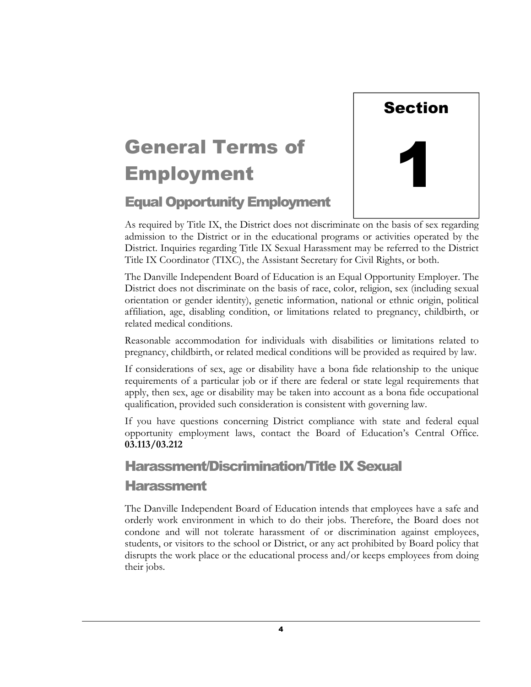# Section 1

# Equal Opportunity Employment

General Terms of

Employment

As required by Title IX, the District does not discriminate on the basis of sex regarding admission to the District or in the educational programs or activities operated by the District. Inquiries regarding Title IX Sexual Harassment may be referred to the District Title IX Coordinator (TIXC), the Assistant Secretary for Civil Rights, or both.

The Danville Independent Board of Education is an Equal Opportunity Employer. The District does not discriminate on the basis of race, color, religion, sex (including sexual orientation or gender identity), genetic information, national or ethnic origin, political affiliation, age, disabling condition, or limitations related to pregnancy, childbirth, or related medical conditions.

Reasonable accommodation for individuals with disabilities or limitations related to pregnancy, childbirth, or related medical conditions will be provided as required by law.

If considerations of sex, age or disability have a bona fide relationship to the unique requirements of a particular job or if there are federal or state legal requirements that apply, then sex, age or disability may be taken into account as a bona fide occupational qualification, provided such consideration is consistent with governing law.

If you have questions concerning District compliance with state and federal equal opportunity employment laws, contact the Board of Education's Central Office. **03.113/03.212**

## Harassment/Discrimination/Title IX Sexual

#### Harassment

The Danville Independent Board of Education intends that employees have a safe and orderly work environment in which to do their jobs. Therefore, the Board does not condone and will not tolerate harassment of or discrimination against employees, students, or visitors to the school or District, or any act prohibited by Board policy that disrupts the work place or the educational process and/or keeps employees from doing their jobs.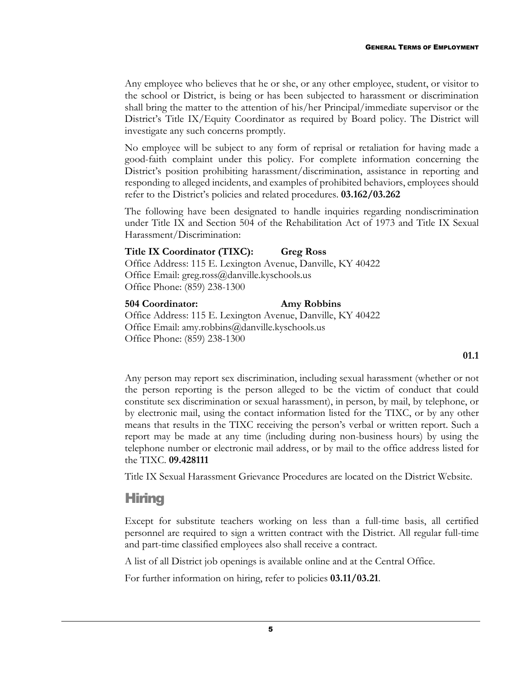Any employee who believes that he or she, or any other employee, student, or visitor to the school or District, is being or has been subjected to harassment or discrimination shall bring the matter to the attention of his/her Principal/immediate supervisor or the District's Title IX/Equity Coordinator as required by Board policy. The District will investigate any such concerns promptly.

No employee will be subject to any form of reprisal or retaliation for having made a good-faith complaint under this policy. For complete information concerning the District's position prohibiting harassment/discrimination, assistance in reporting and responding to alleged incidents, and examples of prohibited behaviors, employees should refer to the District's policies and related procedures. **03.162/03.262** 

The following have been designated to handle inquiries regarding nondiscrimination under Title IX and Section 504 of the Rehabilitation Act of 1973 and Title IX Sexual Harassment/Discrimination:

#### **Title IX Coordinator (TIXC): Greg Ross**

Office Address: 115 E. Lexington Avenue, Danville, KY 40422 Office Email: greg.ross@danville.kyschools.us Office Phone: (859) 238-1300

#### **504 Coordinator: Amy Robbins**

Office Address: 115 E. Lexington Avenue, Danville, KY 40422 Office Email: amy.robbins@danville.kyschools.us Office Phone: (859) 238-1300

**01.1** 

Any person may report sex discrimination, including sexual harassment (whether or not the person reporting is the person alleged to be the victim of conduct that could constitute sex discrimination or sexual harassment), in person, by mail, by telephone, or by electronic mail, using the contact information listed for the TIXC, or by any other means that results in the TIXC receiving the person's verbal or written report. Such a report may be made at any time (including during non-business hours) by using the telephone number or electronic mail address, or by mail to the office address listed for the TIXC. **09.428111**

Title IX Sexual Harassment Grievance Procedures are located on the District Website.

#### **Hiring**

Except for substitute teachers working on less than a full-time basis, all certified personnel are required to sign a written contract with the District. All regular full-time and part-time classified employees also shall receive a contract.

A list of all District job openings is available online and at the Central Office.

For further information on hiring, refer to policies **03.11/03.21**.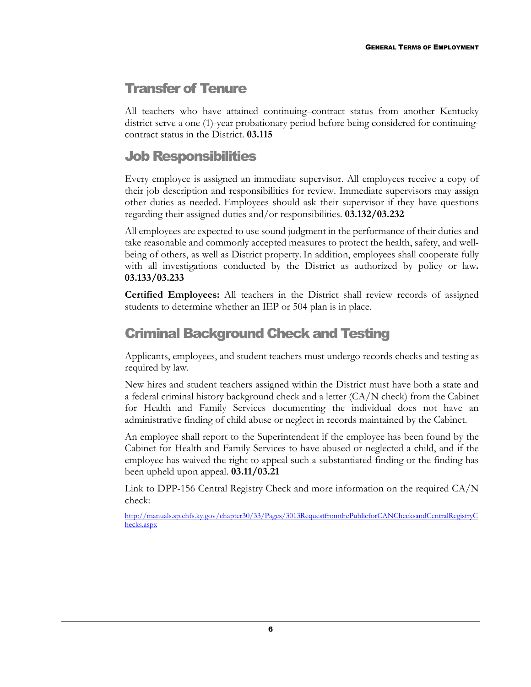# Transfer of Tenure

All teachers who have attained continuing–contract status from another Kentucky district serve a one (1)-year probationary period before being considered for continuingcontract status in the District. **03.115**

#### Job Responsibilities

Every employee is assigned an immediate supervisor. All employees receive a copy of their job description and responsibilities for review. Immediate supervisors may assign other duties as needed. Employees should ask their supervisor if they have questions regarding their assigned duties and/or responsibilities. **03.132/03.232**

All employees are expected to use sound judgment in the performance of their duties and take reasonable and commonly accepted measures to protect the health, safety, and wellbeing of others, as well as District property.In addition, employees shall cooperate fully with all investigations conducted by the District as authorized by policy or law**. 03.133/03.233** 

**Certified Employees:** All teachers in the District shall review records of assigned students to determine whether an IEP or 504 plan is in place.

## Criminal Background Check and Testing

Applicants, employees, and student teachers must undergo records checks and testing as required by law.

New hires and student teachers assigned within the District must have both a state and a federal criminal history background check and a letter (CA/N check) from the Cabinet for Health and Family Services documenting the individual does not have an administrative finding of child abuse or neglect in records maintained by the Cabinet.

An employee shall report to the Superintendent if the employee has been found by the Cabinet for Health and Family Services to have abused or neglected a child, and if the employee has waived the right to appeal such a substantiated finding or the finding has been upheld upon appeal. **03.11/03.21** 

Link to DPP-156 Central Registry Check and more information on the required CA/N check:

http://manuals.sp.chfs.ky.gov/chapter30/33/Pages/3013RequestfromthePublicforCANChecksandCentralRegistryC hecks.aspx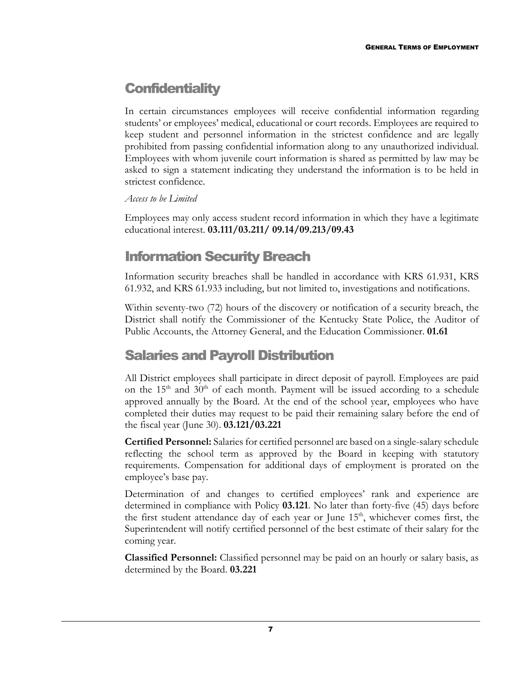# **Confidentiality**

In certain circumstances employees will receive confidential information regarding students' or employees' medical, educational or court records. Employees are required to keep student and personnel information in the strictest confidence and are legally prohibited from passing confidential information along to any unauthorized individual. Employees with whom juvenile court information is shared as permitted by law may be asked to sign a statement indicating they understand the information is to be held in strictest confidence.

#### *Access to be Limited*

Employees may only access student record information in which they have a legitimate educational interest. **03.111/03.211/ 09.14/09.213/09.43** 

#### Information Security Breach

Information security breaches shall be handled in accordance with KRS 61.931, KRS 61.932, and KRS 61.933 including, but not limited to, investigations and notifications.

Within seventy-two (72) hours of the discovery or notification of a security breach, the District shall notify the Commissioner of the Kentucky State Police, the Auditor of Public Accounts, the Attorney General, and the Education Commissioner. **01.61**

#### Salaries and Payroll Distribution

All District employees shall participate in direct deposit of payroll. Employees are paid on the  $15<sup>th</sup>$  and  $30<sup>th</sup>$  of each month. Payment will be issued according to a schedule approved annually by the Board. At the end of the school year, employees who have completed their duties may request to be paid their remaining salary before the end of the fiscal year (June 30). **03.121/03.221**

**Certified Personnel:** Salaries for certified personnel are based on a single-salary schedule reflecting the school term as approved by the Board in keeping with statutory requirements. Compensation for additional days of employment is prorated on the employee's base pay.

Determination of and changes to certified employees' rank and experience are determined in compliance with Policy **03.121**. No later than forty-five (45) days before the first student attendance day of each year or June  $15<sup>th</sup>$ , whichever comes first, the Superintendent will notify certified personnel of the best estimate of their salary for the coming year.

**Classified Personnel:** Classified personnel may be paid on an hourly or salary basis, as determined by the Board. **03.221**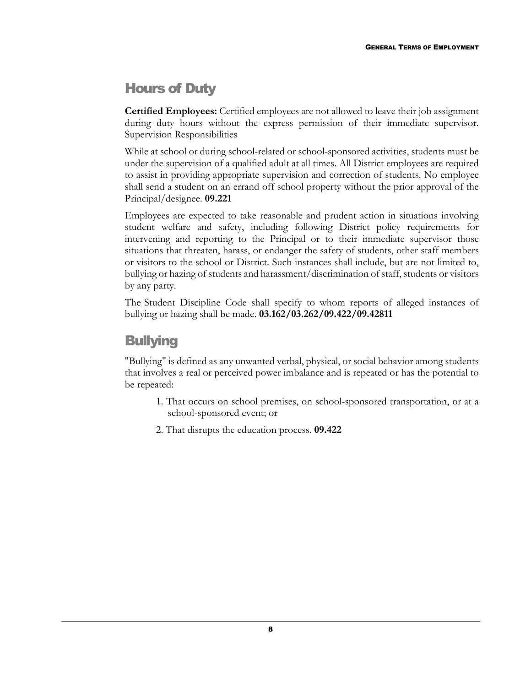# Hours of Duty

**Certified Employees:** Certified employees are not allowed to leave their job assignment during duty hours without the express permission of their immediate supervisor. Supervision Responsibilities

While at school or during school-related or school-sponsored activities, students must be under the supervision of a qualified adult at all times. All District employees are required to assist in providing appropriate supervision and correction of students. No employee shall send a student on an errand off school property without the prior approval of the Principal/designee. **09.221** 

Employees are expected to take reasonable and prudent action in situations involving student welfare and safety, including following District policy requirements for intervening and reporting to the Principal or to their immediate supervisor those situations that threaten, harass, or endanger the safety of students, other staff members or visitors to the school or District. Such instances shall include, but are not limited to, bullying or hazing of students and harassment/discrimination of staff, students or visitors by any party.

The Student Discipline Code shall specify to whom reports of alleged instances of bullying or hazing shall be made. **03.162/03.262/09.422/09.42811** 

#### Bullying

"Bullying" is defined as any unwanted verbal, physical, or social behavior among students that involves a real or perceived power imbalance and is repeated or has the potential to be repeated:

- 1. That occurs on school premises, on school-sponsored transportation, or at a school-sponsored event; or
- 2. That disrupts the education process. **09.422**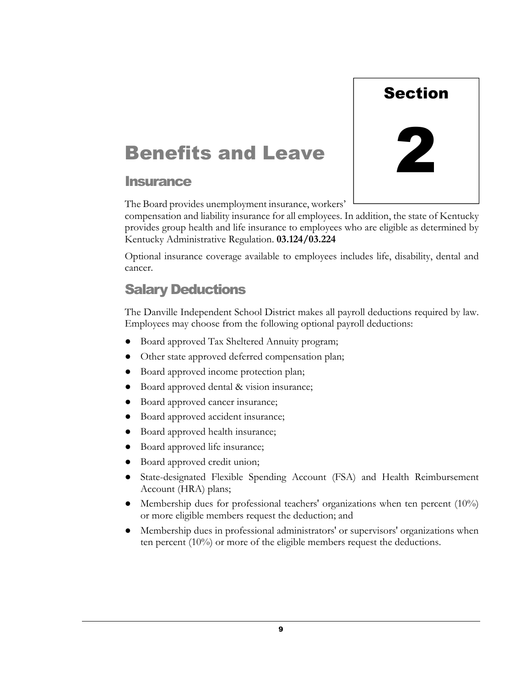# Section 2

# Benefits and Leave

#### **Insurance**

The Board provides unemployment insurance, workers'

compensation and liability insurance for all employees. In addition, the state of Kentucky provides group health and life insurance to employees who are eligible as determined by Kentucky Administrative Regulation. **03.124/03.224** 

Optional insurance coverage available to employees includes life, disability, dental and cancer.

# Salary Deductions

The Danville Independent School District makes all payroll deductions required by law. Employees may choose from the following optional payroll deductions:

- Board approved Tax Sheltered Annuity program;
- Other state approved deferred compensation plan;
- Board approved income protection plan;
- Board approved dental & vision insurance;
- Board approved cancer insurance;
- Board approved accident insurance;
- Board approved health insurance;
- Board approved life insurance;
- Board approved credit union;
- State-designated Flexible Spending Account (FSA) and Health Reimbursement Account (HRA) plans;
- Membership dues for professional teachers' organizations when ten percent  $(10\%)$ or more eligible members request the deduction; and
- Membership dues in professional administrators' or supervisors' organizations when ten percent (10%) or more of the eligible members request the deductions.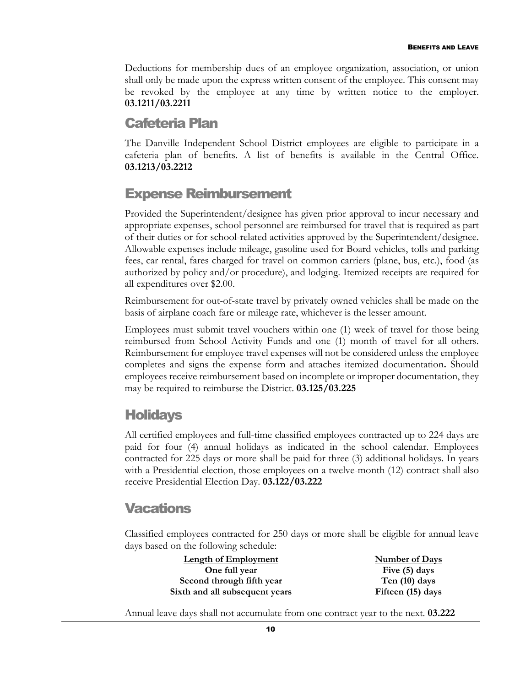Deductions for membership dues of an employee organization, association, or union shall only be made upon the express written consent of the employee. This consent may be revoked by the employee at any time by written notice to the employer. **03.1211/03.2211**

#### Cafeteria Plan

The Danville Independent School District employees are eligible to participate in a cafeteria plan of benefits. A list of benefits is available in the Central Office. **03.1213/03.2212**

#### Expense Reimbursement

Provided the Superintendent/designee has given prior approval to incur necessary and appropriate expenses, school personnel are reimbursed for travel that is required as part of their duties or for school-related activities approved by the Superintendent/designee. Allowable expenses include mileage, gasoline used for Board vehicles, tolls and parking fees, car rental, fares charged for travel on common carriers (plane, bus, etc.), food (as authorized by policy and/or procedure), and lodging. Itemized receipts are required for all expenditures over \$2.00.

Reimbursement for out-of-state travel by privately owned vehicles shall be made on the basis of airplane coach fare or mileage rate, whichever is the lesser amount.

Employees must submit travel vouchers within one (1) week of travel for those being reimbursed from School Activity Funds and one (1) month of travel for all others. Reimbursement for employee travel expenses will not be considered unless the employee completes and signs the expense form and attaches itemized documentation**.** Should employees receive reimbursement based on incomplete or improper documentation, they may be required to reimburse the District. **03.125/03.225** 

#### **Holidays**

All certified employees and full-time classified employees contracted up to 224 days are paid for four (4) annual holidays as indicated in the school calendar. Employees contracted for 225 days or more shall be paid for three (3) additional holidays. In years with a Presidential election, those employees on a twelve-month (12) contract shall also receive Presidential Election Day. **03.122/03.222**

#### Vacations

Classified employees contracted for 250 days or more shall be eligible for annual leave days based on the following schedule:

> **Length of Employment** Number of Days **One full year** Five (5) days **Second through fifth year** Ten (10) days Sixth and all subsequent years **Fifteen** (15) days

Annual leave days shall not accumulate from one contract year to the next. **03.222**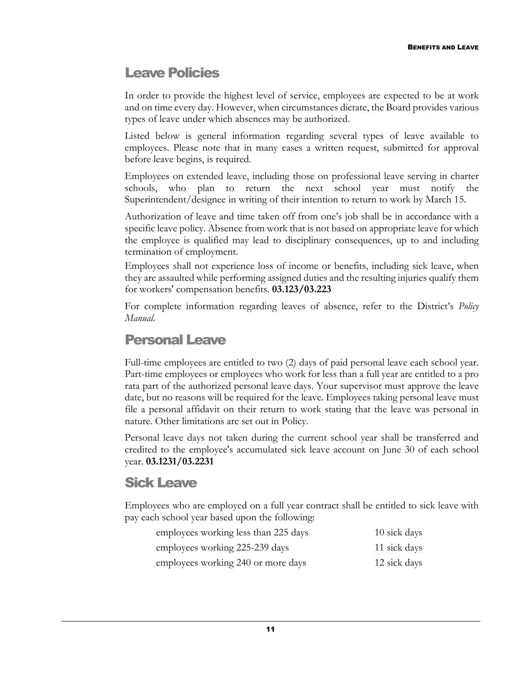#### Leave Policies

In order to provide the highest level of service, employees are expected to be at work and on time every day. However, when circumstances dictate, the Board provides various types of leave under which absences may be authorized.

Listed below is general information regarding several types of leave available to employees. Please note that in many cases a written request, submitted for approval before leave begins, is required.

Employees on extended leave, including those on professional leave serving in charter schools, who plan to return the next school year must notify the Superintendent/designee in writing of their intention to return to work by March 15.

Authorization of leave and time taken off from one's job shall be in accordance with a specific leave policy. Absence from work that is not based on appropriate leave for which the employee is qualified may lead to disciplinary consequences, up to and including termination of employment.

Employees shall not experience loss of income or benefits, including sick leave, when they are assaulted while performing assigned duties and the resulting injuries qualify them for workers' compensation benefits. **03.123/03.223**

For complete information regarding leaves of absence, refer to the District's *Policy Manual*.

#### Personal Leave

Full-time employees are entitled to two (2) days of paid personal leave each school year. Part-time employees or employees who work for less than a full year are entitled to a pro rata part of the authorized personal leave days. Your supervisor must approve the leave date, but no reasons will be required for the leave. Employees taking personal leave must file a personal affidavit on their return to work stating that the leave was personal in nature. Other limitations are set out in Policy.

Personal leave days not taken during the current school year shall be transferred and credited to the employee's accumulated sick leave account on June 30 of each school year. **03.1231/03.2231** 

#### Sick Leave

Employees who are employed on a full year contract shall be entitled to sick leave with pay each school year based upon the following:

| employees working less than 225 days | 10 sick days |
|--------------------------------------|--------------|
| employees working 225-239 days       | 11 sick days |
| employees working 240 or more days   | 12 sick days |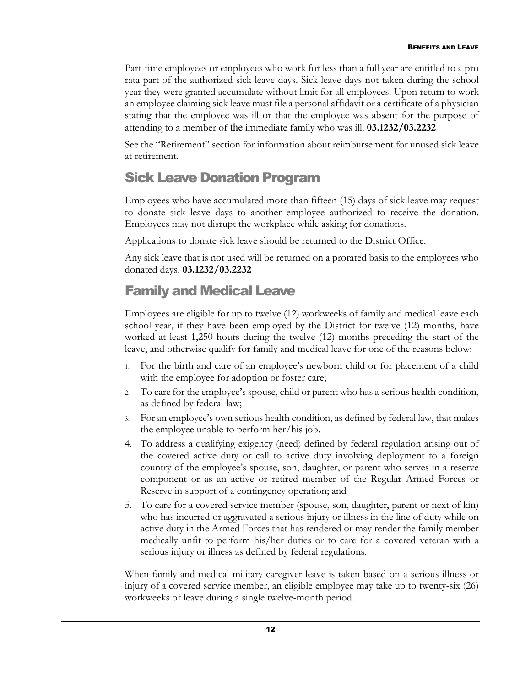Part-time employees or employees who work for less than a full year are entitled to a pro rata part of the authorized sick leave days. Sick leave days not taken during the school year they were granted accumulate without limit for all employees. Upon return to work an employee claiming sick leave must file a personal affidavit or a certificate of a physician stating that the employee was ill or that the employee was absent for the purpose of attending to a member of the immediate family who was ill. **03.1232/03.2232**

See the "Retirement" section for information about reimbursement for unused sick leave at retirement.

### Sick Leave Donation Program

Employees who have accumulated more than fifteen (15) days of sick leave may request to donate sick leave days to another employee authorized to receive the donation. Employees may not disrupt the workplace while asking for donations.

Applications to donate sick leave should be returned to the District Office.

Any sick leave that is not used will be returned on a prorated basis to the employees who donated days. **03.1232/03.2232** 

## Family and Medical Leave

Employees are eligible for up to twelve (12) workweeks of family and medical leave each school year, if they have been employed by the District for twelve (12) months, have worked at least 1,250 hours during the twelve (12) months preceding the start of the leave, and otherwise qualify for family and medical leave for one of the reasons below:

- 1. For the birth and care of an employee's newborn child or for placement of a child with the employee for adoption or foster care;
- 2. To care for the employee's spouse, child or parent who has a serious health condition, as defined by federal law;
- 3. For an employee's own serious health condition, as defined by federal law, that makes the employee unable to perform her/his job.
- 4. To address a qualifying exigency (need) defined by federal regulation arising out of the covered active duty or call to active duty involving deployment to a foreign country of the employee's spouse, son, daughter, or parent who serves in a reserve component or as an active or retired member of the Regular Armed Forces or Reserve in support of a contingency operation; and
- 5. To care for a covered service member (spouse, son, daughter, parent or next of kin) who has incurred or aggravated a serious injury or illness in the line of duty while on active duty in the Armed Forces that has rendered or may render the family member medically unfit to perform his/her duties or to care for a covered veteran with a serious injury or illness as defined by federal regulations.

When family and medical military caregiver leave is taken based on a serious illness or injury of a covered service member, an eligible employee may take up to twenty-six (26) workweeks of leave during a single twelve-month period.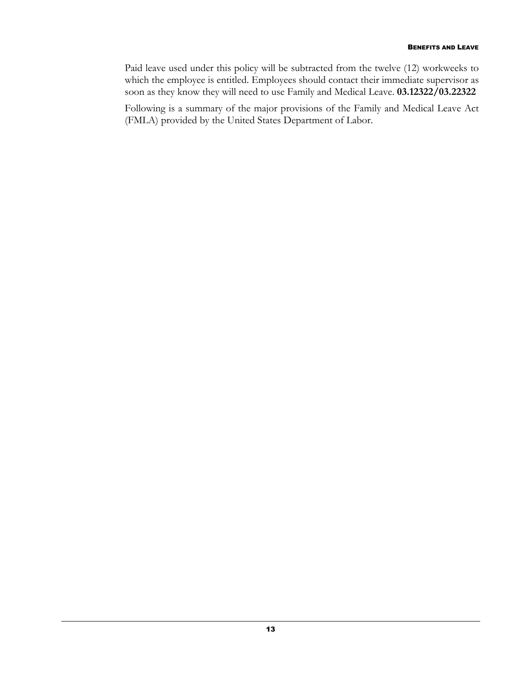Paid leave used under this policy will be subtracted from the twelve (12) workweeks to which the employee is entitled. Employees should contact their immediate supervisor as soon as they know they will need to use Family and Medical Leave. **03.12322/03.22322** 

Following is a summary of the major provisions of the Family and Medical Leave Act (FMLA) provided by the United States Department of Labor.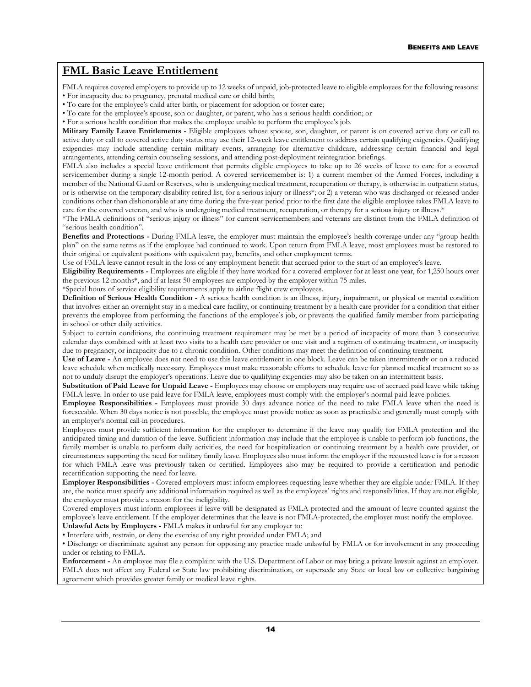#### **FML Basic Leave Entitlement**

FMLA requires covered employers to provide up to 12 weeks of unpaid, job-protected leave to eligible employees for the following reasons:

- For incapacity due to pregnancy, prenatal medical care or child birth;
- To care for the employee's child after birth, or placement for adoption or foster care;

• To care for the employee's spouse, son or daughter, or parent, who has a serious health condition; or

• For a serious health condition that makes the employee unable to perform the employee's job.

**Military Family Leave Entitlements -** Eligible employees whose spouse, son, daughter, or parent is on covered active duty or call to active duty or call to covered active duty status may use their 12-week leave entitlement to address certain qualifying exigencies. Qualifying exigencies may include attending certain military events, arranging for alternative childcare, addressing certain financial and legal arrangements, attending certain counseling sessions, and attending post-deployment reintegration briefings.

FMLA also includes a special leave entitlement that permits eligible employees to take up to 26 weeks of leave to care for a covered servicemember during a single 12-month period. A covered servicemember is: 1) a current member of the Armed Forces, including a member of the National Guard or Reserves, who is undergoing medical treatment, recuperation or therapy, is otherwise in outpatient status, or is otherwise on the temporary disability retired list, for a serious injury or illness\*; or 2) a veteran who was discharged or released under conditions other than dishonorable at any time during the five-year period prior to the first date the eligible employee takes FMLA leave to care for the covered veteran, and who is undergoing medical treatment, recuperation, or therapy for a serious injury or illness.\*

\*The FMLA definitions of "serious injury or illness" for current servicemembers and veterans are distinct from the FMLA definition of "serious health condition".

**Benefits and Protections -** During FMLA leave, the employer must maintain the employee's health coverage under any "group health plan" on the same terms as if the employee had continued to work. Upon return from FMLA leave, most employees must be restored to their original or equivalent positions with equivalent pay, benefits, and other employment terms.

Use of FMLA leave cannot result in the loss of any employment benefit that accrued prior to the start of an employee's leave.

**Eligibility Requirements -** Employees are eligible if they have worked for a covered employer for at least one year, for 1,250 hours over the previous 12 months\*, and if at least 50 employees are employed by the employer within 75 miles.

\*Special hours of service eligibility requirements apply to airline flight crew employees.

**Definition of Serious Health Condition -** A serious health condition is an illness, injury, impairment, or physical or mental condition that involves either an overnight stay in a medical care facility, or continuing treatment by a health care provider for a condition that either prevents the employee from performing the functions of the employee's job, or prevents the qualified family member from participating in school or other daily activities.

Subject to certain conditions, the continuing treatment requirement may be met by a period of incapacity of more than 3 consecutive calendar days combined with at least two visits to a health care provider or one visit and a regimen of continuing treatment, or incapacity due to pregnancy, or incapacity due to a chronic condition. Other conditions may meet the definition of continuing treatment.

**Use of Leave -** An employee does not need to use this leave entitlement in one block. Leave can be taken intermittently or on a reduced leave schedule when medically necessary. Employees must make reasonable efforts to schedule leave for planned medical treatment so as not to unduly disrupt the employer's operations. Leave due to qualifying exigencies may also be taken on an intermittent basis.

Substitution of Paid Leave for Unpaid Leave - Employees may choose or employers may require use of accrued paid leave while taking FMLA leave. In order to use paid leave for FMLA leave, employees must comply with the employer's normal paid leave policies.

**Employee Responsibilities -** Employees must provide 30 days advance notice of the need to take FMLA leave when the need is foreseeable. When 30 days notice is not possible, the employee must provide notice as soon as practicable and generally must comply with an employer's normal call-in procedures.

Employees must provide sufficient information for the employer to determine if the leave may qualify for FMLA protection and the anticipated timing and duration of the leave. Sufficient information may include that the employee is unable to perform job functions, the family member is unable to perform daily activities, the need for hospitalization or continuing treatment by a health care provider, or circumstances supporting the need for military family leave. Employees also must inform the employer if the requested leave is for a reason for which FMLA leave was previously taken or certified. Employees also may be required to provide a certification and periodic recertification supporting the need for leave.

**Employer Responsibilities -** Covered employers must inform employees requesting leave whether they are eligible under FMLA. If they are, the notice must specify any additional information required as well as the employees' rights and responsibilities. If they are not eligible, the employer must provide a reason for the ineligibility.

Covered employers must inform employees if leave will be designated as FMLA-protected and the amount of leave counted against the employee's leave entitlement. If the employer determines that the leave is not FMLA-protected, the employer must notify the employee. **Unlawful Acts by Employers -** FMLA makes it unlawful for any employer to:

• Interfere with, restrain, or deny the exercise of any right provided under FMLA; and

• Discharge or discriminate against any person for opposing any practice made unlawful by FMLA or for involvement in any proceeding under or relating to FMLA.

**Enforcement -** An employee may file a complaint with the U.S. Department of Labor or may bring a private lawsuit against an employer. FMLA does not affect any Federal or State law prohibiting discrimination, or supersede any State or local law or collective bargaining agreement which provides greater family or medical leave rights.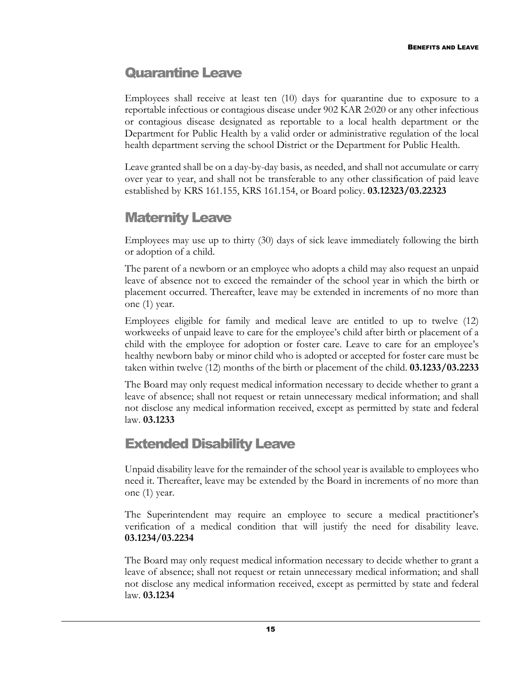#### Quarantine Leave

Employees shall receive at least ten (10) days for quarantine due to exposure to a reportable infectious or contagious disease under 902 KAR 2:020 or any other infectious or contagious disease designated as reportable to a local health department or the Department for Public Health by a valid order or administrative regulation of the local health department serving the school District or the Department for Public Health.

Leave granted shall be on a day-by-day basis, as needed, and shall not accumulate or carry over year to year, and shall not be transferable to any other classification of paid leave established by KRS 161.155, KRS 161.154, or Board policy. **03.12323/03.22323** 

#### Maternity Leave

Employees may use up to thirty (30) days of sick leave immediately following the birth or adoption of a child.

The parent of a newborn or an employee who adopts a child may also request an unpaid leave of absence not to exceed the remainder of the school year in which the birth or placement occurred. Thereafter, leave may be extended in increments of no more than one (1) year.

Employees eligible for family and medical leave are entitled to up to twelve (12) workweeks of unpaid leave to care for the employee's child after birth or placement of a child with the employee for adoption or foster care. Leave to care for an employee's healthy newborn baby or minor child who is adopted or accepted for foster care must be taken within twelve (12) months of the birth or placement of the child. **03.1233/03.2233** 

The Board may only request medical information necessary to decide whether to grant a leave of absence; shall not request or retain unnecessary medical information; and shall not disclose any medical information received, except as permitted by state and federal law. **03.1233**

### Extended Disability Leave

Unpaid disability leave for the remainder of the school year is available to employees who need it. Thereafter, leave may be extended by the Board in increments of no more than one (1) year.

The Superintendent may require an employee to secure a medical practitioner's verification of a medical condition that will justify the need for disability leave. **03.1234/03.2234** 

The Board may only request medical information necessary to decide whether to grant a leave of absence; shall not request or retain unnecessary medical information; and shall not disclose any medical information received, except as permitted by state and federal law. **03.1234**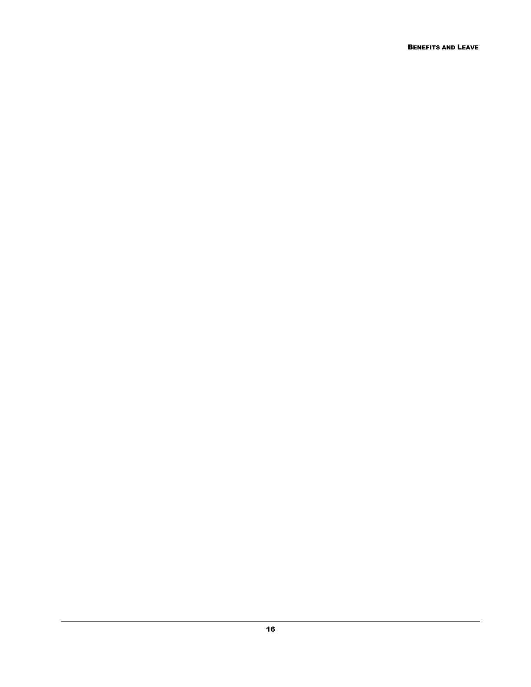BENEFITS AND LEAVE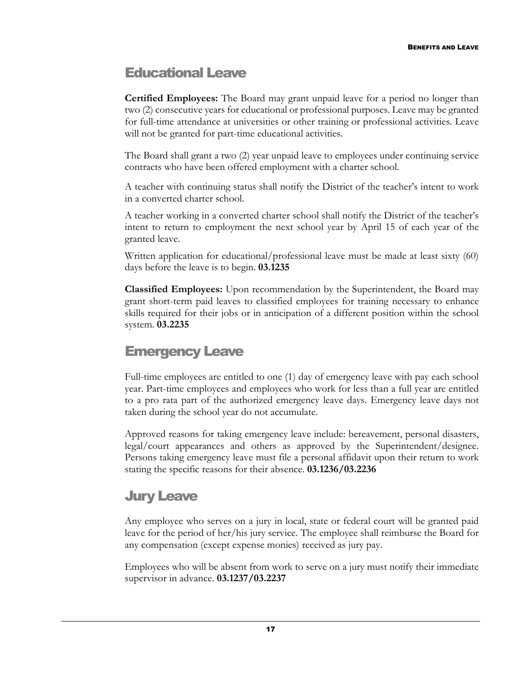#### Educational Leave

**Certified Employees:** The Board may grant unpaid leave for a period no longer than two (2) consecutive years for educational or professional purposes. Leave may be granted for full-time attendance at universities or other training or professional activities. Leave will not be granted for part-time educational activities.

The Board shall grant a two (2) year unpaid leave to employees under continuing service contracts who have been offered employment with a charter school.

A teacher with continuing status shall notify the District of the teacher's intent to work in a converted charter school.

A teacher working in a converted charter school shall notify the District of the teacher's intent to return to employment the next school year by April 15 of each year of the granted leave.

Written application for educational/professional leave must be made at least sixty (60) days before the leave is to begin. **03.1235**

**Classified Employees:** Upon recommendation by the Superintendent, the Board may grant short-term paid leaves to classified employees for training necessary to enhance skills required for their jobs or in anticipation of a different position within the school system. **03.2235**

#### Emergency Leave

Full-time employees are entitled to one (1) day of emergency leave with pay each school year. Part-time employees and employees who work for less than a full year are entitled to a pro rata part of the authorized emergency leave days. Emergency leave days not taken during the school year do not accumulate.

Approved reasons for taking emergency leave include: bereavement, personal disasters, legal/court appearances and others as approved by the Superintendent/designee. Persons taking emergency leave must file a personal affidavit upon their return to work stating the specific reasons for their absence. **03.1236/03.2236**

#### Jury Leave

Any employee who serves on a jury in local, state or federal court will be granted paid leave for the period of her/his jury service. The employee shall reimburse the Board for any compensation (except expense monies) received as jury pay.

Employees who will be absent from work to serve on a jury must notify their immediate supervisor in advance. **03.1237/03.2237**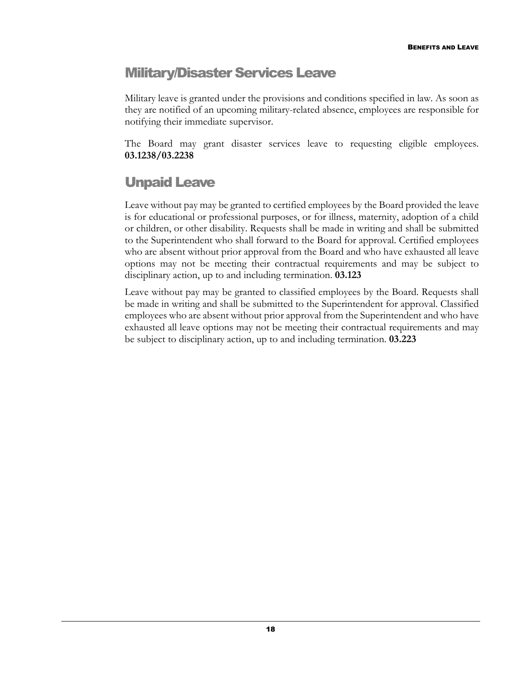#### Military/Disaster Services Leave

Military leave is granted under the provisions and conditions specified in law. As soon as they are notified of an upcoming military-related absence, employees are responsible for notifying their immediate supervisor.

The Board may grant disaster services leave to requesting eligible employees. **03.1238/03.2238** 

#### Unpaid Leave

Leave without pay may be granted to certified employees by the Board provided the leave is for educational or professional purposes, or for illness, maternity, adoption of a child or children, or other disability. Requests shall be made in writing and shall be submitted to the Superintendent who shall forward to the Board for approval. Certified employees who are absent without prior approval from the Board and who have exhausted all leave options may not be meeting their contractual requirements and may be subject to disciplinary action, up to and including termination. **03.123** 

Leave without pay may be granted to classified employees by the Board. Requests shall be made in writing and shall be submitted to the Superintendent for approval. Classified employees who are absent without prior approval from the Superintendent and who have exhausted all leave options may not be meeting their contractual requirements and may be subject to disciplinary action, up to and including termination. **03.223**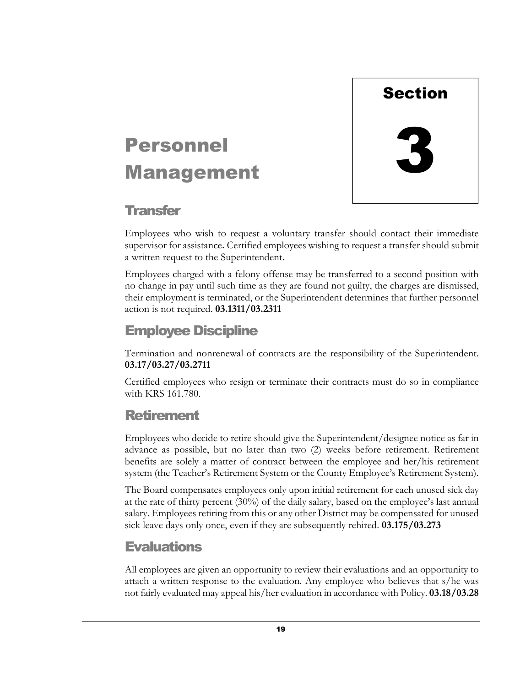

# Personnel Management

## **Transfer**

Employees who wish to request a voluntary transfer should contact their immediate supervisor for assistance**.** Certified employees wishing to request a transfer should submit a written request to the Superintendent.

Employees charged with a felony offense may be transferred to a second position with no change in pay until such time as they are found not guilty, the charges are dismissed, their employment is terminated, or the Superintendent determines that further personnel action is not required. **03.1311/03.2311**

## Employee Discipline

Termination and nonrenewal of contracts are the responsibility of the Superintendent. **03.17/03.27/03.2711**

Certified employees who resign or terminate their contracts must do so in compliance with KRS 161.780.

### Retirement

Employees who decide to retire should give the Superintendent/designee notice as far in advance as possible, but no later than two (2) weeks before retirement. Retirement benefits are solely a matter of contract between the employee and her/his retirement system (the Teacher's Retirement System or the County Employee's Retirement System).

The Board compensates employees only upon initial retirement for each unused sick day at the rate of thirty percent (30%) of the daily salary, based on the employee's last annual salary. Employees retiring from this or any other District may be compensated for unused sick leave days only once, even if they are subsequently rehired. **03.175/03.273**

### **Evaluations**

All employees are given an opportunity to review their evaluations and an opportunity to attach a written response to the evaluation. Any employee who believes that s/he was not fairly evaluated may appeal his/her evaluation in accordance with Policy. **03.18/03.28**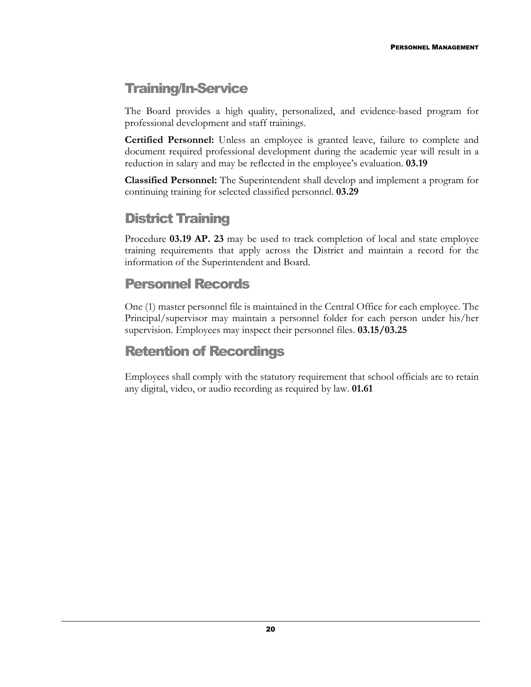# Training/In-Service

The Board provides a high quality, personalized, and evidence-based program for professional development and staff trainings.

**Certified Personnel:** Unless an employee is granted leave, failure to complete and document required professional development during the academic year will result in a reduction in salary and may be reflected in the employee's evaluation. **03.19** 

**Classified Personnel:** The Superintendent shall develop and implement a program for continuing training for selected classified personnel. **03.29**

### District Training

Procedure **03.19 AP. 23** may be used to track completion of local and state employee training requirements that apply across the District and maintain a record for the information of the Superintendent and Board.

#### Personnel Records

One (1) master personnel file is maintained in the Central Office for each employee. The Principal/supervisor may maintain a personnel folder for each person under his/her supervision. Employees may inspect their personnel files. **03.15/03.25** 

## Retention of Recordings

Employees shall comply with the statutory requirement that school officials are to retain any digital, video, or audio recording as required by law. **01.61**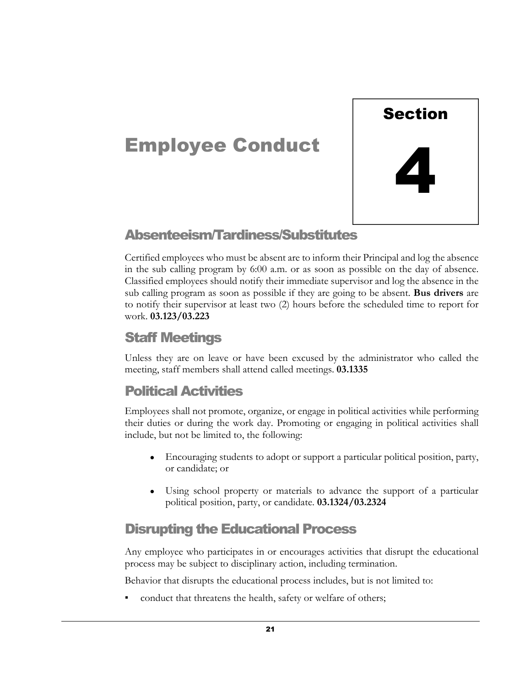# Section 4

# Employee Conduct

## Absenteeism/Tardiness/Substitutes

Certified employees who must be absent are to inform their Principal and log the absence in the sub calling program by 6:00 a.m. or as soon as possible on the day of absence. Classified employees should notify their immediate supervisor and log the absence in the sub calling program as soon as possible if they are going to be absent. **Bus drivers** are to notify their supervisor at least two (2) hours before the scheduled time to report for work. **03.123/03.223** 

## Staff Meetings

Unless they are on leave or have been excused by the administrator who called the meeting, staff members shall attend called meetings. **03.1335**

# Political Activities

Employees shall not promote, organize, or engage in political activities while performing their duties or during the work day. Promoting or engaging in political activities shall include, but not be limited to, the following:

- Encouraging students to adopt or support a particular political position, party, or candidate; or
- Using school property or materials to advance the support of a particular political position, party, or candidate. **03.1324/03.2324**

# Disrupting the Educational Process

Any employee who participates in or encourages activities that disrupt the educational process may be subject to disciplinary action, including termination.

Behavior that disrupts the educational process includes, but is not limited to:

conduct that threatens the health, safety or welfare of others;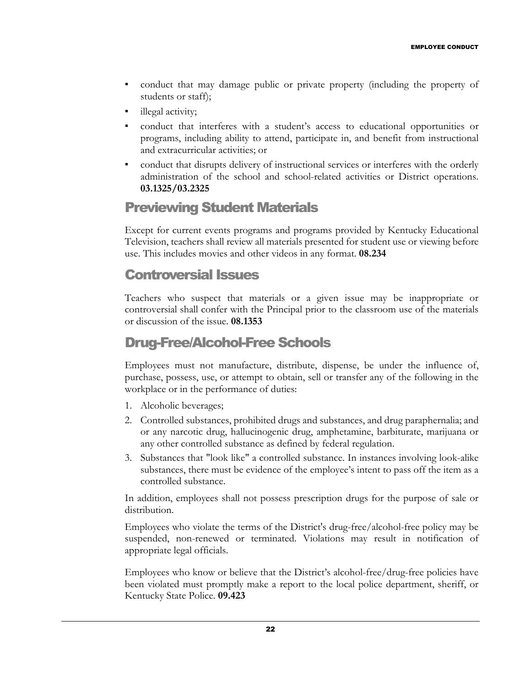- conduct that may damage public or private property (including the property of students or staff);
- illegal activity;
- conduct that interferes with a student's access to educational opportunities or programs, including ability to attend, participate in, and benefit from instructional and extracurricular activities; or
- conduct that disrupts delivery of instructional services or interferes with the orderly administration of the school and school-related activities or District operations. **03.1325/03.2325**

#### Previewing Student Materials

Except for current events programs and programs provided by Kentucky Educational Television, teachers shall review all materials presented for student use or viewing before use. This includes movies and other videos in any format. **08.234**

#### Controversial Issues

Teachers who suspect that materials or a given issue may be inappropriate or controversial shall confer with the Principal prior to the classroom use of the materials or discussion of the issue. **08.1353**

### Drug-Free/Alcohol-Free Schools

Employees must not manufacture, distribute, dispense, be under the influence of, purchase, possess, use, or attempt to obtain, sell or transfer any of the following in the workplace or in the performance of duties:

- 1. Alcoholic beverages;
- 2. Controlled substances, prohibited drugs and substances, and drug paraphernalia; and or any narcotic drug, hallucinogenic drug, amphetamine, barbiturate, marijuana or any other controlled substance as defined by federal regulation.
- 3. Substances that "look like" a controlled substance. In instances involving look-alike substances, there must be evidence of the employee's intent to pass off the item as a controlled substance.

In addition, employees shall not possess prescription drugs for the purpose of sale or distribution.

Employees who violate the terms of the District's drug-free/alcohol-free policy may be suspended, non-renewed or terminated. Violations may result in notification of appropriate legal officials.

Employees who know or believe that the District's alcohol-free/drug-free policies have been violated must promptly make a report to the local police department, sheriff, or Kentucky State Police. **09.423**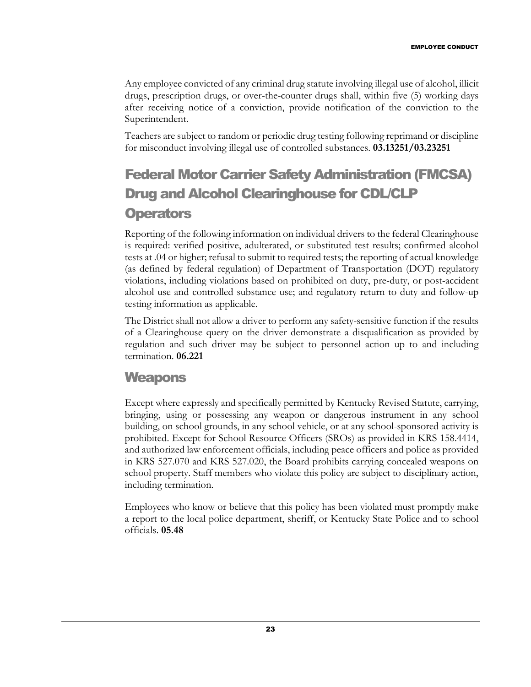Any employee convicted of any criminal drug statute involving illegal use of alcohol, illicit drugs, prescription drugs, or over-the-counter drugs shall, within five (5) working days after receiving notice of a conviction, provide notification of the conviction to the Superintendent.

Teachers are subject to random or periodic drug testing following reprimand or discipline for misconduct involving illegal use of controlled substances. **03.13251/03.23251**

# Federal Motor Carrier Safety Administration (FMCSA) Drug and Alcohol Clearinghouse for CDL/CLP **Operators**

Reporting of the following information on individual drivers to the federal Clearinghouse is required: verified positive, adulterated, or substituted test results; confirmed alcohol tests at .04 or higher; refusal to submit to required tests; the reporting of actual knowledge (as defined by federal regulation) of Department of Transportation (DOT) regulatory violations, including violations based on prohibited on duty, pre-duty, or post-accident alcohol use and controlled substance use; and regulatory return to duty and follow-up testing information as applicable.

The District shall not allow a driver to perform any safety-sensitive function if the results of a Clearinghouse query on the driver demonstrate a disqualification as provided by regulation and such driver may be subject to personnel action up to and including termination. **06.221**

#### **Weapons**

Except where expressly and specifically permitted by Kentucky Revised Statute, carrying, bringing, using or possessing any weapon or dangerous instrument in any school building, on school grounds, in any school vehicle, or at any school-sponsored activity is prohibited. Except for School Resource Officers (SROs) as provided in KRS 158.4414, and authorized law enforcement officials, including peace officers and police as provided in KRS 527.070 and KRS 527.020, the Board prohibits carrying concealed weapons on school property. Staff members who violate this policy are subject to disciplinary action, including termination.

Employees who know or believe that this policy has been violated must promptly make a report to the local police department, sheriff, or Kentucky State Police and to school officials. **05.48**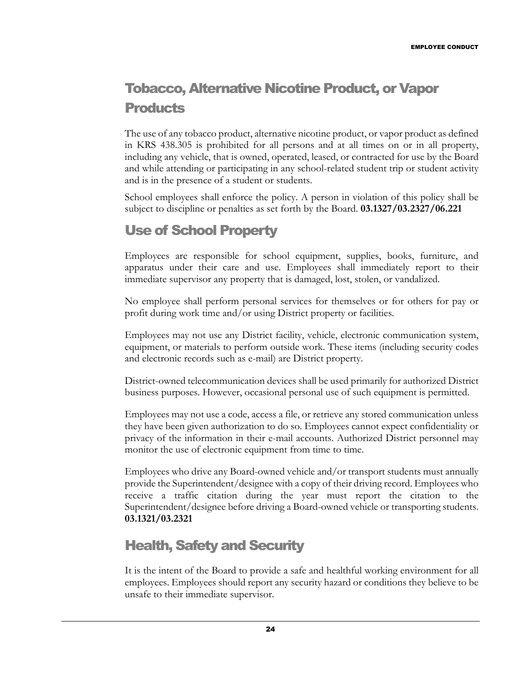# Tobacco, Alternative Nicotine Product, or Vapor **Products**

The use of any tobacco product, alternative nicotine product, or vapor product as defined in KRS 438.305 is prohibited for all persons and at all times on or in all property, including any vehicle, that is owned, operated, leased, or contracted for use by the Board and while attending or participating in any school-related student trip or student activity and is in the presence of a student or students.

School employees shall enforce the policy. A person in violation of this policy shall be subject to discipline or penalties as set forth by the Board. **03.1327/03.2327/06.221**

## Use of School Property

Employees are responsible for school equipment, supplies, books, furniture, and apparatus under their care and use. Employees shall immediately report to their immediate supervisor any property that is damaged, lost, stolen, or vandalized.

No employee shall perform personal services for themselves or for others for pay or profit during work time and/or using District property or facilities.

Employees may not use any District facility, vehicle, electronic communication system, equipment, or materials to perform outside work. These items (including security codes and electronic records such as e-mail) are District property.

District-owned telecommunication devices shall be used primarily for authorized District business purposes. However, occasional personal use of such equipment is permitted.

Employees may not use a code, access a file, or retrieve any stored communication unless they have been given authorization to do so. Employees cannot expect confidentiality or privacy of the information in their e-mail accounts. Authorized District personnel may monitor the use of electronic equipment from time to time.

Employees who drive any Board-owned vehicle and/or transport students must annually provide the Superintendent/designee with a copy of their driving record. Employees who receive a traffic citation during the year must report the citation to the Superintendent/designee before driving a Board-owned vehicle or transporting students. **03.1321/03.2321**

# Health, Safety and Security

It is the intent of the Board to provide a safe and healthful working environment for all employees. Employees should report any security hazard or conditions they believe to be unsafe to their immediate supervisor.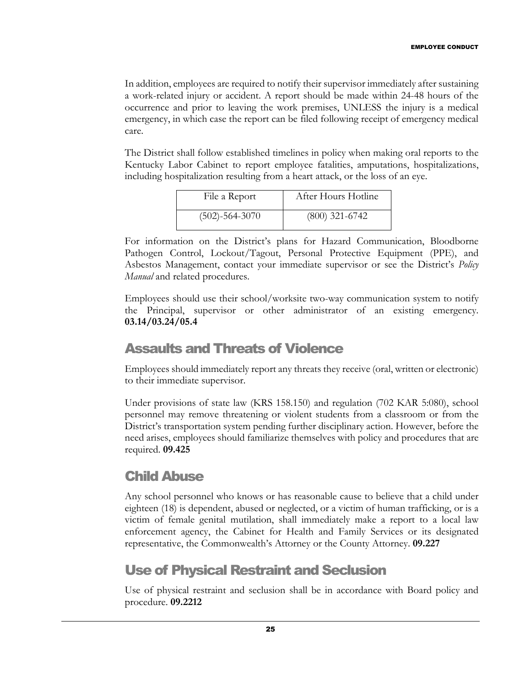In addition, employees are required to notify their supervisor immediately after sustaining a work-related injury or accident. A report should be made within 24-48 hours of the occurrence and prior to leaving the work premises, UNLESS the injury is a medical emergency, in which case the report can be filed following receipt of emergency medical care.

The District shall follow established timelines in policy when making oral reports to the Kentucky Labor Cabinet to report employee fatalities, amputations, hospitalizations, including hospitalization resulting from a heart attack, or the loss of an eye.

| File a Report        | After Hours Hotline |
|----------------------|---------------------|
| $(502) - 564 - 3070$ | $(800)$ 321-6742    |

For information on the District's plans for Hazard Communication, Bloodborne Pathogen Control, Lockout/Tagout, Personal Protective Equipment (PPE), and Asbestos Management, contact your immediate supervisor or see the District's *Policy Manual* and related procedures.

Employees should use their school/worksite two-way communication system to notify the Principal, supervisor or other administrator of an existing emergency. **03.14/03.24/05.4** 

#### Assaults and Threats of Violence

Employees should immediately report any threats they receive (oral, written or electronic) to their immediate supervisor.

Under provisions of state law (KRS 158.150) and regulation (702 KAR 5:080), school personnel may remove threatening or violent students from a classroom or from the District's transportation system pending further disciplinary action. However, before the need arises, employees should familiarize themselves with policy and procedures that are required. **09.425** 

#### Child Abuse

Any school personnel who knows or has reasonable cause to believe that a child under eighteen (18) is dependent, abused or neglected, or a victim of human trafficking, or is a victim of female genital mutilation, shall immediately make a report to a local law enforcement agency, the Cabinet for Health and Family Services or its designated representative, the Commonwealth's Attorney or the County Attorney. **09.227** 

### Use of Physical Restraint and Seclusion

Use of physical restraint and seclusion shall be in accordance with Board policy and procedure. **09.2212**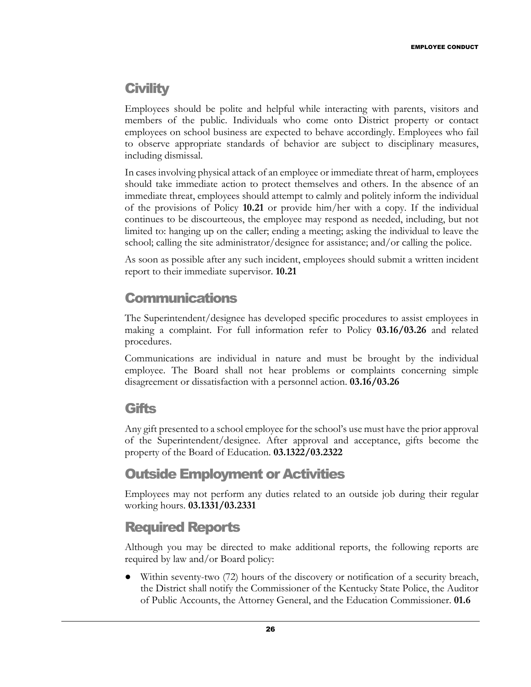# **Civility**

Employees should be polite and helpful while interacting with parents, visitors and members of the public. Individuals who come onto District property or contact employees on school business are expected to behave accordingly. Employees who fail to observe appropriate standards of behavior are subject to disciplinary measures, including dismissal.

In cases involving physical attack of an employee or immediate threat of harm, employees should take immediate action to protect themselves and others. In the absence of an immediate threat, employees should attempt to calmly and politely inform the individual of the provisions of Policy **10.21** or provide him/her with a copy. If the individual continues to be discourteous, the employee may respond as needed, including, but not limited to: hanging up on the caller; ending a meeting; asking the individual to leave the school; calling the site administrator/designee for assistance; and/or calling the police.

As soon as possible after any such incident, employees should submit a written incident report to their immediate supervisor. **10.21**

### Communications

The Superintendent/designee has developed specific procedures to assist employees in making a complaint. For full information refer to Policy **03.16/03.26** and related procedures.

Communications are individual in nature and must be brought by the individual employee. The Board shall not hear problems or complaints concerning simple disagreement or dissatisfaction with a personnel action. **03.16/03.26**

#### **Gifts**

Any gift presented to a school employee for the school's use must have the prior approval of the Superintendent/designee. After approval and acceptance, gifts become the property of the Board of Education. **03.1322/03.2322**

### Outside Employment or Activities

Employees may not perform any duties related to an outside job during their regular working hours. **03.1331/03.2331** 

### Required Reports

Although you may be directed to make additional reports, the following reports are required by law and/or Board policy:

Within seventy-two (72) hours of the discovery or notification of a security breach, the District shall notify the Commissioner of the Kentucky State Police, the Auditor of Public Accounts, the Attorney General, and the Education Commissioner. **01.6**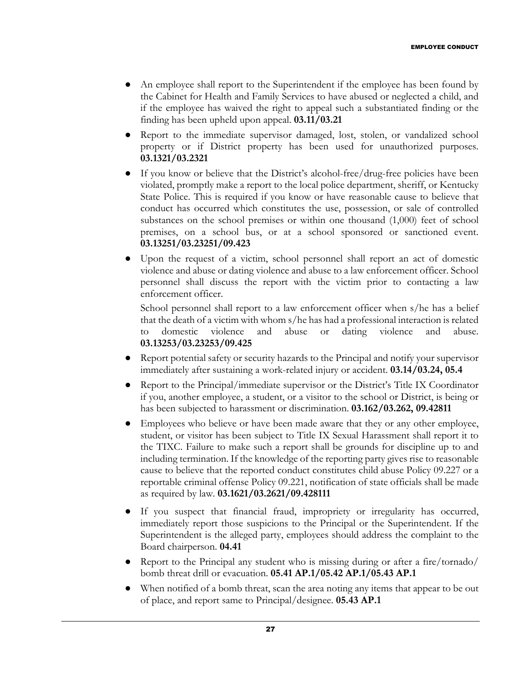- An employee shall report to the Superintendent if the employee has been found by the Cabinet for Health and Family Services to have abused or neglected a child, and if the employee has waived the right to appeal such a substantiated finding or the finding has been upheld upon appeal. **03.11/03.21**
- Report to the immediate supervisor damaged, lost, stolen, or vandalized school property or if District property has been used for unauthorized purposes. **03.1321/03.2321**
- If you know or believe that the District's alcohol-free/drug-free policies have been violated, promptly make a report to the local police department, sheriff, or Kentucky State Police. This is required if you know or have reasonable cause to believe that conduct has occurred which constitutes the use, possession, or sale of controlled substances on the school premises or within one thousand (1,000) feet of school premises, on a school bus, or at a school sponsored or sanctioned event. **03.13251/03.23251/09.423**
- Upon the request of a victim, school personnel shall report an act of domestic violence and abuse or dating violence and abuse to a law enforcement officer. School personnel shall discuss the report with the victim prior to contacting a law enforcement officer.

School personnel shall report to a law enforcement officer when s/he has a belief that the death of a victim with whom s/he has had a professional interaction is related to domestic violence and abuse or dating violence and abuse. **03.13253/03.23253/09.425**

- Report potential safety or security hazards to the Principal and notify your supervisor immediately after sustaining a work-related injury or accident. **03.14/03.24, 05.4**
- Report to the Principal/immediate supervisor or the District's Title IX Coordinator if you, another employee, a student, or a visitor to the school or District, is being or has been subjected to harassment or discrimination. **03.162/03.262, 09.42811**
- Employees who believe or have been made aware that they or any other employee, student, or visitor has been subject to Title IX Sexual Harassment shall report it to the TIXC. Failure to make such a report shall be grounds for discipline up to and including termination. If the knowledge of the reporting party gives rise to reasonable cause to believe that the reported conduct constitutes child abuse Policy 09.227 or a reportable criminal offense Policy 09.221, notification of state officials shall be made as required by law. **03.1621/03.2621/09.428111**
- If you suspect that financial fraud, impropriety or irregularity has occurred, immediately report those suspicions to the Principal or the Superintendent. If the Superintendent is the alleged party, employees should address the complaint to the Board chairperson. **04.41**
- Report to the Principal any student who is missing during or after a fire/tornado/ bomb threat drill or evacuation. **05.41 AP.1/05.42 AP.1/05.43 AP.1**
- When notified of a bomb threat, scan the area noting any items that appear to be out of place, and report same to Principal/designee. **05.43 AP.1**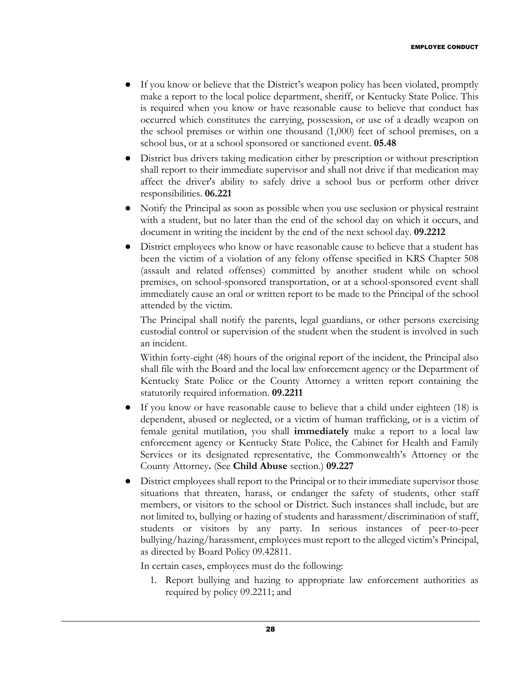- If you know or believe that the District's weapon policy has been violated, promptly make a report to the local police department, sheriff, or Kentucky State Police. This is required when you know or have reasonable cause to believe that conduct has occurred which constitutes the carrying, possession, or use of a deadly weapon on the school premises or within one thousand (1,000) feet of school premises, on a school bus, or at a school sponsored or sanctioned event. **05.48**
- District bus drivers taking medication either by prescription or without prescription shall report to their immediate supervisor and shall not drive if that medication may affect the driver's ability to safely drive a school bus or perform other driver responsibilities. **06.221**
- Notify the Principal as soon as possible when you use seclusion or physical restraint with a student, but no later than the end of the school day on which it occurs, and document in writing the incident by the end of the next school day. **09.2212**
- District employees who know or have reasonable cause to believe that a student has been the victim of a violation of any felony offense specified in KRS Chapter 508 (assault and related offenses) committed by another student while on school premises, on school-sponsored transportation, or at a school-sponsored event shall immediately cause an oral or written report to be made to the Principal of the school attended by the victim.

The Principal shall notify the parents, legal guardians, or other persons exercising custodial control or supervision of the student when the student is involved in such an incident.

Within forty-eight (48) hours of the original report of the incident, the Principal also shall file with the Board and the local law enforcement agency or the Department of Kentucky State Police or the County Attorney a written report containing the statutorily required information. **09.2211**

- If you know or have reasonable cause to believe that a child under eighteen (18) is dependent, abused or neglected, or a victim of human trafficking, or is a victim of female genital mutilation, you shall **immediately** make a report to a local law enforcement agency or Kentucky State Police, the Cabinet for Health and Family Services or its designated representative, the Commonwealth's Attorney or the County Attorney**.** (See **Child Abuse** section.) **09.227**
- District employees shall report to the Principal or to their immediate supervisor those situations that threaten, harass, or endanger the safety of students, other staff members, or visitors to the school or District. Such instances shall include, but are not limited to, bullying or hazing of students and harassment/discrimination of staff, students or visitors by any party. In serious instances of peer-to-peer bullying/hazing/harassment, employees must report to the alleged victim's Principal, as directed by Board Policy 09.42811.

In certain cases, employees must do the following:

1. Report bullying and hazing to appropriate law enforcement authorities as required by policy 09.2211; and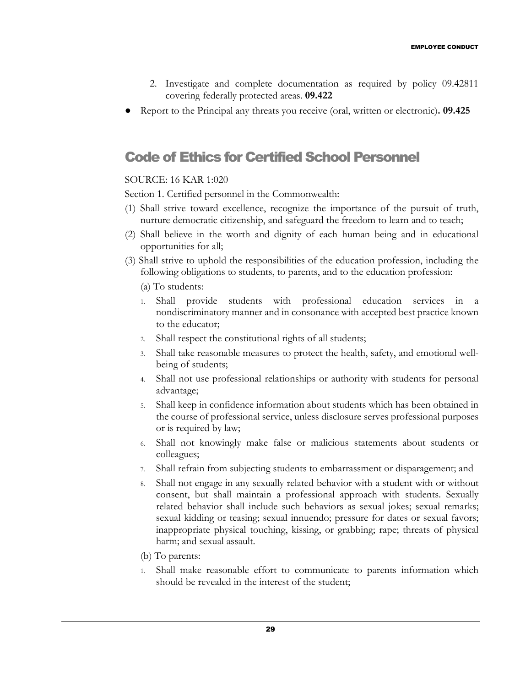- 2. Investigate and complete documentation as required by policy 09.42811 covering federally protected areas. **09.422**
- Report to the Principal any threats you receive (oral, written or electronic)**. 09.425**

### Code of Ethics for Certified School Personnel

#### SOURCE: 16 KAR 1:020

Section 1. Certified personnel in the Commonwealth:

- (1) Shall strive toward excellence, recognize the importance of the pursuit of truth, nurture democratic citizenship, and safeguard the freedom to learn and to teach;
- (2) Shall believe in the worth and dignity of each human being and in educational opportunities for all;
- (3) Shall strive to uphold the responsibilities of the education profession, including the following obligations to students, to parents, and to the education profession:
	- (a) To students:
	- 1. Shall provide students with professional education services in a nondiscriminatory manner and in consonance with accepted best practice known to the educator;
	- 2. Shall respect the constitutional rights of all students;
	- 3. Shall take reasonable measures to protect the health, safety, and emotional wellbeing of students;
	- 4. Shall not use professional relationships or authority with students for personal advantage;
	- 5. Shall keep in confidence information about students which has been obtained in the course of professional service, unless disclosure serves professional purposes or is required by law;
	- 6. Shall not knowingly make false or malicious statements about students or colleagues;
	- 7. Shall refrain from subjecting students to embarrassment or disparagement; and
	- 8. Shall not engage in any sexually related behavior with a student with or without consent, but shall maintain a professional approach with students. Sexually related behavior shall include such behaviors as sexual jokes; sexual remarks; sexual kidding or teasing; sexual innuendo; pressure for dates or sexual favors; inappropriate physical touching, kissing, or grabbing; rape; threats of physical harm; and sexual assault.
	- (b) To parents:
	- 1. Shall make reasonable effort to communicate to parents information which should be revealed in the interest of the student;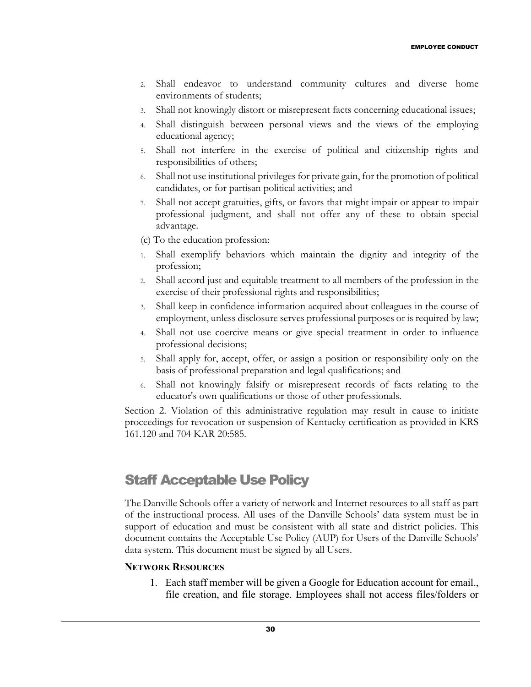- 2. Shall endeavor to understand community cultures and diverse home environments of students;
- 3. Shall not knowingly distort or misrepresent facts concerning educational issues;
- 4. Shall distinguish between personal views and the views of the employing educational agency;
- 5. Shall not interfere in the exercise of political and citizenship rights and responsibilities of others;
- 6. Shall not use institutional privileges for private gain, for the promotion of political candidates, or for partisan political activities; and
- 7. Shall not accept gratuities, gifts, or favors that might impair or appear to impair professional judgment, and shall not offer any of these to obtain special advantage.
- (c) To the education profession:
- 1. Shall exemplify behaviors which maintain the dignity and integrity of the profession;
- 2. Shall accord just and equitable treatment to all members of the profession in the exercise of their professional rights and responsibilities;
- 3. Shall keep in confidence information acquired about colleagues in the course of employment, unless disclosure serves professional purposes or is required by law;
- 4. Shall not use coercive means or give special treatment in order to influence professional decisions;
- 5. Shall apply for, accept, offer, or assign a position or responsibility only on the basis of professional preparation and legal qualifications; and
- 6. Shall not knowingly falsify or misrepresent records of facts relating to the educator's own qualifications or those of other professionals.

Section 2. Violation of this administrative regulation may result in cause to initiate proceedings for revocation or suspension of Kentucky certification as provided in KRS 161.120 and 704 KAR 20:585.

#### Staff Acceptable Use Policy

The Danville Schools offer a variety of network and Internet resources to all staff as part of the instructional process. All uses of the Danville Schools' data system must be in support of education and must be consistent with all state and district policies. This document contains the Acceptable Use Policy (AUP) for Users of the Danville Schools' data system. This document must be signed by all Users.

#### **NETWORK RESOURCES**

1. Each staff member will be given a Google for Education account for email., file creation, and file storage. Employees shall not access files/folders or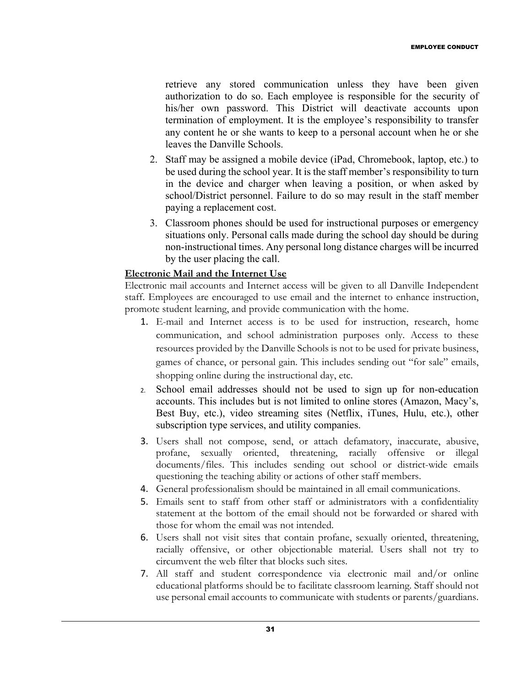retrieve any stored communication unless they have been given authorization to do so. Each employee is responsible for the security of his/her own password. This District will deactivate accounts upon termination of employment. It is the employee's responsibility to transfer any content he or she wants to keep to a personal account when he or she leaves the Danville Schools.

- 2. Staff may be assigned a mobile device (iPad, Chromebook, laptop, etc.) to be used during the school year. It is the staff member's responsibility to turn in the device and charger when leaving a position, or when asked by school/District personnel. Failure to do so may result in the staff member paying a replacement cost.
- 3. Classroom phones should be used for instructional purposes or emergency situations only. Personal calls made during the school day should be during non-instructional times. Any personal long distance charges will be incurred by the user placing the call.

#### **Electronic Mail and the Internet Use**

Electronic mail accounts and Internet access will be given to all Danville Independent staff. Employees are encouraged to use email and the internet to enhance instruction, promote student learning, and provide communication with the home.

- 1. E-mail and Internet access is to be used for instruction, research, home communication, and school administration purposes only. Access to these resources provided by the Danville Schools is not to be used for private business, games of chance, or personal gain. This includes sending out "for sale" emails, shopping online during the instructional day, etc.
- 2. School email addresses should not be used to sign up for non-education accounts. This includes but is not limited to online stores (Amazon, Macy's, Best Buy, etc.), video streaming sites (Netflix, iTunes, Hulu, etc.), other subscription type services, and utility companies.
- 3. Users shall not compose, send, or attach defamatory, inaccurate, abusive, profane, sexually oriented, threatening, racially offensive or illegal documents/files. This includes sending out school or district-wide emails questioning the teaching ability or actions of other staff members.
- 4. General professionalism should be maintained in all email communications.
- 5. Emails sent to staff from other staff or administrators with a confidentiality statement at the bottom of the email should not be forwarded or shared with those for whom the email was not intended.
- 6. Users shall not visit sites that contain profane, sexually oriented, threatening, racially offensive, or other objectionable material. Users shall not try to circumvent the web filter that blocks such sites.
- 7. All staff and student correspondence via electronic mail and/or online educational platforms should be to facilitate classroom learning. Staff should not use personal email accounts to communicate with students or parents/guardians.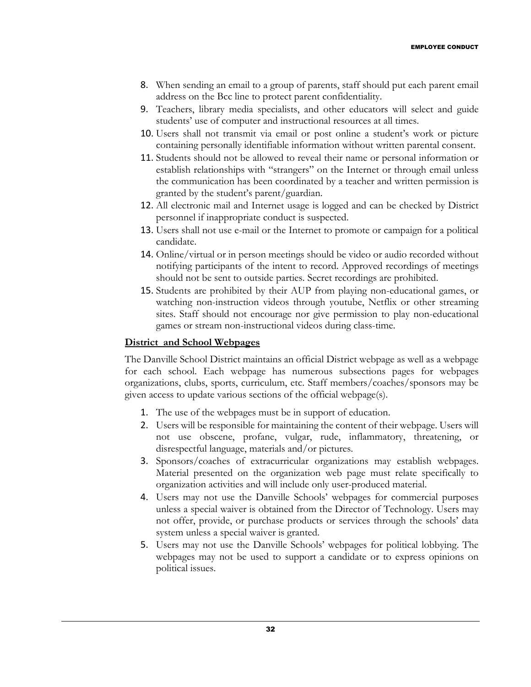- 8. When sending an email to a group of parents, staff should put each parent email address on the Bcc line to protect parent confidentiality.
- 9. Teachers, library media specialists, and other educators will select and guide students' use of computer and instructional resources at all times.
- 10. Users shall not transmit via email or post online a student's work or picture containing personally identifiable information without written parental consent.
- 11. Students should not be allowed to reveal their name or personal information or establish relationships with "strangers" on the Internet or through email unless the communication has been coordinated by a teacher and written permission is granted by the student's parent/guardian.
- 12. All electronic mail and Internet usage is logged and can be checked by District personnel if inappropriate conduct is suspected.
- 13. Users shall not use e-mail or the Internet to promote or campaign for a political candidate.
- 14. Online/virtual or in person meetings should be video or audio recorded without notifying participants of the intent to record. Approved recordings of meetings should not be sent to outside parties. Secret recordings are prohibited.
- 15. Students are prohibited by their AUP from playing non-educational games, or watching non-instruction videos through youtube, Netflix or other streaming sites. Staff should not encourage nor give permission to play non-educational games or stream non-instructional videos during class-time.

#### **District and School Webpages**

The Danville School District maintains an official District webpage as well as a webpage for each school. Each webpage has numerous subsections pages for webpages organizations, clubs, sports, curriculum, etc. Staff members/coaches/sponsors may be given access to update various sections of the official webpage(s).

- 1. The use of the webpages must be in support of education.
- 2. Users will be responsible for maintaining the content of their webpage. Users will not use obscene, profane, vulgar, rude, inflammatory, threatening, or disrespectful language, materials and/or pictures.
- 3. Sponsors/coaches of extracurricular organizations may establish webpages. Material presented on the organization web page must relate specifically to organization activities and will include only user-produced material.
- 4. Users may not use the Danville Schools' webpages for commercial purposes unless a special waiver is obtained from the Director of Technology. Users may not offer, provide, or purchase products or services through the schools' data system unless a special waiver is granted.
- 5. Users may not use the Danville Schools' webpages for political lobbying. The webpages may not be used to support a candidate or to express opinions on political issues.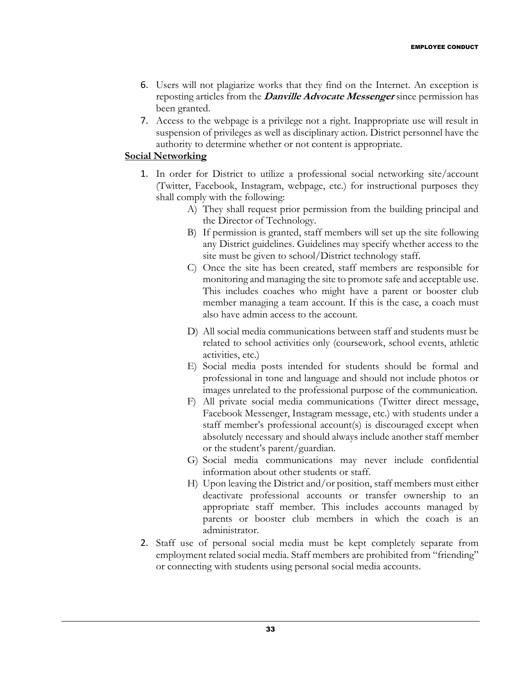- 6. Users will not plagiarize works that they find on the Internet. An exception is reposting articles from the **Danville Advocate Messenger** since permission has been granted.
- 7. Access to the webpage is a privilege not a right. Inappropriate use will result in suspension of privileges as well as disciplinary action. District personnel have the authority to determine whether or not content is appropriate.

#### **Social Networking**

- 1. In order for District to utilize a professional social networking site/account (Twitter, Facebook, Instagram, webpage, etc.) for instructional purposes they shall comply with the following:
	- A) They shall request prior permission from the building principal and the Director of Technology.
	- B) If permission is granted, staff members will set up the site following any District guidelines. Guidelines may specify whether access to the site must be given to school/District technology staff.
	- C) Once the site has been created, staff members are responsible for monitoring and managing the site to promote safe and acceptable use. This includes coaches who might have a parent or booster club member managing a team account. If this is the case, a coach must also have admin access to the account.
	- D) All social media communications between staff and students must be related to school activities only (coursework, school events, athletic activities, etc.)
	- E) Social media posts intended for students should be formal and professional in tone and language and should not include photos or images unrelated to the professional purpose of the communication.
	- F) All private social media communications (Twitter direct message, Facebook Messenger, Instagram message, etc.) with students under a staff member's professional account(s) is discouraged except when absolutely necessary and should always include another staff member or the student's parent/guardian.
	- G) Social media communications may never include confidential information about other students or staff.
	- H) Upon leaving the District and/or position, staff members must either deactivate professional accounts or transfer ownership to an appropriate staff member. This includes accounts managed by parents or booster club members in which the coach is an administrator.
- 2. Staff use of personal social media must be kept completely separate from employment related social media. Staff members are prohibited from "friending" or connecting with students using personal social media accounts.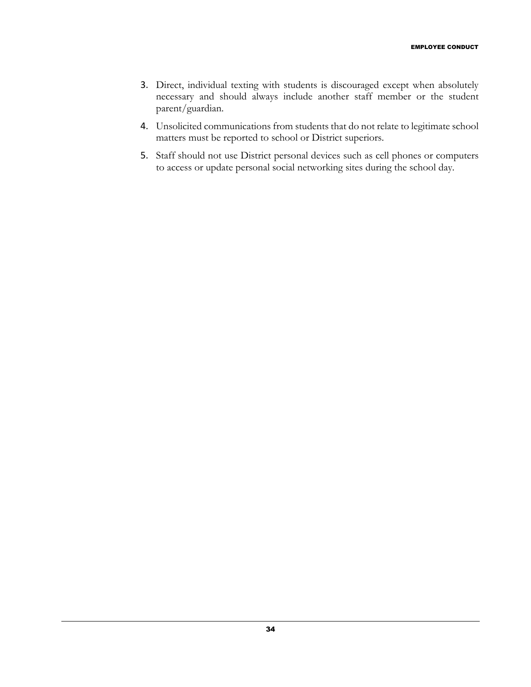- 3. Direct, individual texting with students is discouraged except when absolutely necessary and should always include another staff member or the student parent/guardian.
- 4. Unsolicited communications from students that do not relate to legitimate school matters must be reported to school or District superiors.
- 5. Staff should not use District personal devices such as cell phones or computers to access or update personal social networking sites during the school day.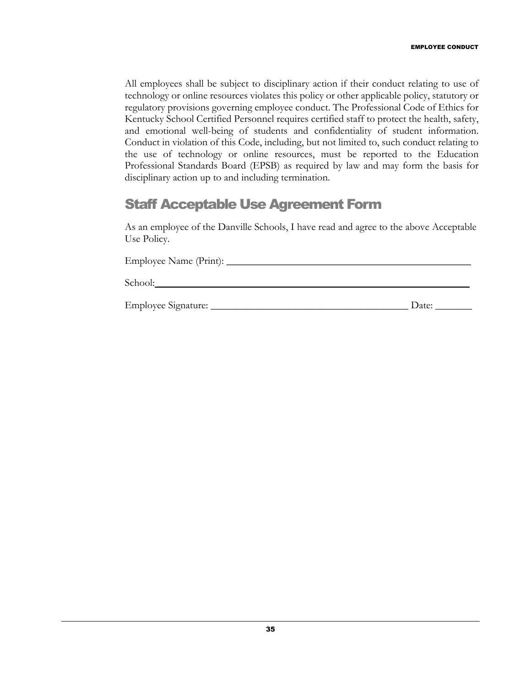All employees shall be subject to disciplinary action if their conduct relating to use of technology or online resources violates this policy or other applicable policy, statutory or regulatory provisions governing employee conduct. The Professional Code of Ethics for Kentucky School Certified Personnel requires certified staff to protect the health, safety, and emotional well-being of students and confidentiality of student information. Conduct in violation of this Code, including, but not limited to, such conduct relating to the use of technology or online resources, must be reported to the Education Professional Standards Board (EPSB) as required by law and may form the basis for disciplinary action up to and including termination.

#### Staff Acceptable Use Agreement Form

As an employee of the Danville Schools, I have read and agree to the above Acceptable Use Policy.

Employee Name (Print): \_\_\_\_\_\_\_\_\_\_\_\_\_\_\_\_\_\_\_\_\_\_\_\_\_\_\_\_\_\_\_\_\_\_\_\_\_\_\_\_\_\_\_\_\_\_\_

School:

Employee Signature: \_\_\_\_\_\_\_\_\_\_\_\_\_\_\_\_\_\_\_\_\_\_\_\_\_\_\_\_\_\_\_\_\_\_\_\_\_\_ Date: \_\_\_\_\_\_\_